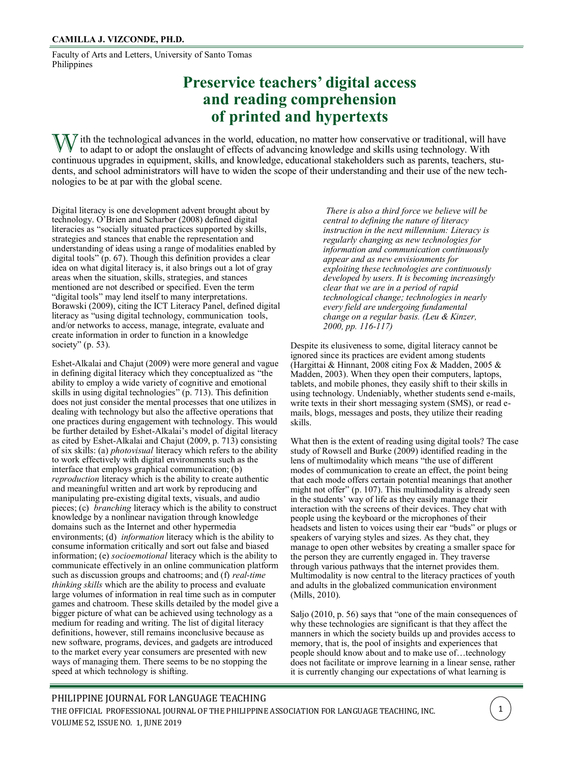Faculty of Arts and Letters, University of Santo Tomas Philippines

# **Preservice teachers' digital access and reading comprehension of printed and hypertexts**

 $\sqrt{N}$  ith the technological advances in the world, education, no matter how conservative or traditional, will have to adapt to or adopt the onslaught of effects of advancing knowledge and skills using technology. With continuous upgrades in equipment, skills, and knowledge, educational stakeholders such as parents, teachers, students, and school administrators will have to widen the scope of their understanding and their use of the new technologies to be at par with the global scene.

Digital literacy is one development advent brought about by technology. O'Brien and Scharber (2008) defined digital literacies as "socially situated practices supported by skills, strategies and stances that enable the representation and understanding of ideas using a range of modalities enabled by digital tools" (p. 67). Though this definition provides a clear idea on what digital literacy is, it also brings out a lot of gray areas when the situation, skills, strategies, and stances mentioned are not described or specified. Even the term "digital tools" may lend itself to many interpretations. Borawski (2009), citing the ICT Literacy Panel, defined digital literacy as "using digital technology, communication tools, and/or networks to access, manage, integrate, evaluate and create information in order to function in a knowledge society"  $(p. 53)$ .

Eshet-Alkalai and Chajut (2009) were more general and vague in defining digital literacy which they conceptualized as "the ability to employ a wide variety of cognitive and emotional skills in using digital technologies" (p. 713). This definition does not just consider the mental processes that one utilizes in dealing with technology but also the affective operations that one practices during engagement with technology. This would be further detailed by Eshet-Alkalai's model of digital literacy as cited by Eshet-Alkalai and Chajut (2009, p. 713) consisting of six skills: (a) *photovisual* literacy which refers to the ability to work effectively with digital environments such as the interface that employs graphical communication; (b) *reproduction* literacy which is the ability to create authentic and meaningful written and art work by reproducing and manipulating pre-existing digital texts, visuals, and audio pieces; (c) *branching* literacy which is the ability to construct knowledge by a nonlinear navigation through knowledge domains such as the Internet and other hypermedia environments; (d) *information* literacy which is the ability to consume information critically and sort out false and biased information; (e) *socioemotional* literacy which is the ability to communicate effectively in an online communication platform such as discussion groups and chatrooms; and (f) *real-time thinking skills* which are the ability to process and evaluate large volumes of information in real time such as in computer games and chatroom. These skills detailed by the model give a bigger picture of what can be achieved using technology as a medium for reading and writing. The list of digital literacy definitions, however, still remains inconclusive because as new software, programs, devices, and gadgets are introduced to the market every year consumers are presented with new ways of managing them. There seems to be no stopping the speed at which technology is shifting.

*There is also a third force we believe will be central to defining the nature of literacy instruction in the next millennium: Literacy is regularly changing as new technologies for information and communication continuously appear and as new envisionments for exploiting these technologies are continuously developed by users. It is becoming increasingly clear that we are in a period of rapid technological change; technologies in nearly every field are undergoing fundamental change on a regular basis. (Leu & Kinzer, 2000, pp. 116-117)*

Despite its elusiveness to some, digital literacy cannot be ignored since its practices are evident among students (Hargittai & Hinnant, 2008 citing Fox & Madden, 2005 & Madden, 2003). When they open their computers, laptops, tablets, and mobile phones, they easily shift to their skills in using technology. Undeniably, whether students send e-mails, write texts in their short messaging system (SMS), or read emails, blogs, messages and posts, they utilize their reading skills.

What then is the extent of reading using digital tools? The case study of Rowsell and Burke (2009) identified reading in the lens of multimodality which means "the use of different modes of communication to create an effect, the point being that each mode offers certain potential meanings that another might not offer" (p. 107). This multimodality is already seen in the students' way of life as they easily manage their interaction with the screens of their devices. They chat with people using the keyboard or the microphones of their headsets and listen to voices using their ear "buds" or plugs or speakers of varying styles and sizes. As they chat, they manage to open other websites by creating a smaller space for the person they are currently engaged in. They traverse through various pathways that the internet provides them. Multimodality is now central to the literacy practices of youth and adults in the globalized communication environment (Mills, 2010).

Saljo (2010, p. 56) says that "one of the main consequences of why these technologies are significant is that they affect the manners in which the society builds up and provides access to memory, that is, the pool of insights and experiences that people should know about and to make use of…technology does not facilitate or improve learning in a linear sense, rather it is currently changing our expectations of what learning is

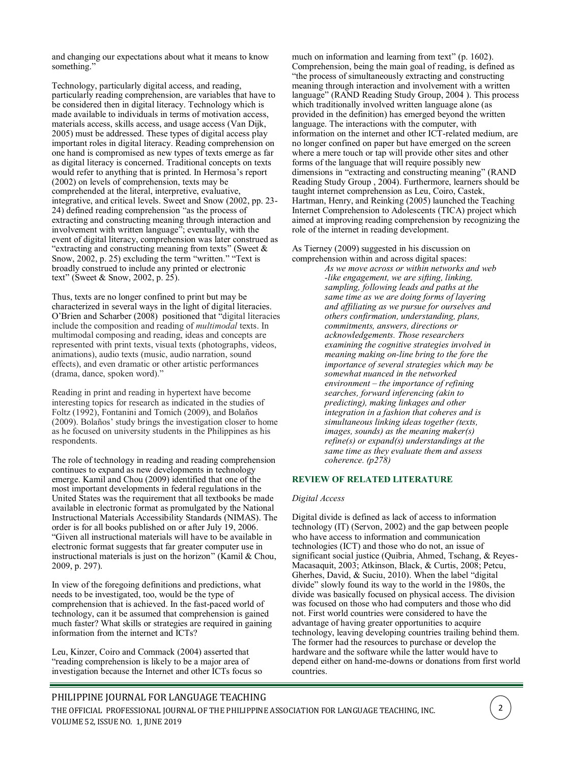and changing our expectations about what it means to know something."

Technology, particularly digital access, and reading, particularly reading comprehension, are variables that have to be considered then in digital literacy. Technology which is made available to individuals in terms of motivation access, materials access, skills access, and usage access (Van Dijk, 2005) must be addressed. These types of digital access play important roles in digital literacy. Reading comprehension on one hand is compromised as new types of texts emerge as far as digital literacy is concerned. Traditional concepts on texts would refer to anything that is printed. In Hermosa's report (2002) on levels of comprehension, texts may be comprehended at the literal, interpretive, evaluative, integrative, and critical levels. Sweet and Snow (2002, pp. 23- 24) defined reading comprehension "as the process of extracting and constructing meaning through interaction and involvement with written language"; eventually, with the event of digital literacy, comprehension was later construed as "extracting and constructing meaning from texts" (Sweet & Snow, 2002, p. 25) excluding the term "written." "Text is broadly construed to include any printed or electronic text" (Sweet & Snow, 2002, p. 25).

Thus, texts are no longer confined to print but may be characterized in several ways in the light of digital literacies. O'Brien and Scharber (2008) positioned that "digital literacies include the composition and reading of *multimodal* texts. In multimodal composing and reading, ideas and concepts are represented with print texts, visual texts (photographs, videos, animations), audio texts (music, audio narration, sound effects), and even dramatic or other artistic performances (drama, dance, spoken word)."

Reading in print and reading in hypertext have become interesting topics for research as indicated in the studies of Foltz (1992), Fontanini and Tomich (2009), and Bolaños (2009). Bolaños' study brings the investigation closer to home as he focused on university students in the Philippines as his respondents.

The role of technology in reading and reading comprehension continues to expand as new developments in technology emerge. Kamil and Chou (2009) identified that one of the most important developments in federal regulations in the United States was the requirement that all textbooks be made available in electronic format as promulgated by the National Instructional Materials Accessibility Standards (NIMAS). The order is for all books published on or after July 19, 2006. "Given all instructional materials will have to be available in electronic format suggests that far greater computer use in instructional materials is just on the horizon" (Kamil & Chou, 2009, p. 297).

In view of the foregoing definitions and predictions, what needs to be investigated, too, would be the type of comprehension that is achieved. In the fast-paced world of technology, can it be assumed that comprehension is gained much faster? What skills or strategies are required in gaining information from the internet and ICTs?

Leu, Kinzer, Coiro and Commack (2004) asserted that "reading comprehension is likely to be a major area of investigation because the Internet and other ICTs focus so much on information and learning from text" (p. 1602). Comprehension, being the main goal of reading, is defined as "the process of simultaneously extracting and constructing meaning through interaction and involvement with a written language" (RAND Reading Study Group, 2004 ). This process which traditionally involved written language alone (as provided in the definition) has emerged beyond the written language. The interactions with the computer, with information on the internet and other ICT-related medium, are no longer confined on paper but have emerged on the screen where a mere touch or tap will provide other sites and other forms of the language that will require possibly new dimensions in "extracting and constructing meaning" (RAND Reading Study Group , 2004). Furthermore, learners should be taught internet comprehension as Leu, Coiro, Castek, Hartman, Henry, and Reinking (2005) launched the Teaching Internet Comprehension to Adolescents (TICA) project which aimed at improving reading comprehension by recognizing the role of the internet in reading development.

As Tierney (2009) suggested in his discussion on comprehension within and across digital spaces:

*As we move across or within networks and web -like engagement, we are sifting, linking, sampling, following leads and paths at the same time as we are doing forms of layering and affiliating as we pursue for ourselves and others confirmation, understanding, plans, commitments, answers, directions or acknowledgements. Those researchers examining the cognitive strategies involved in meaning making on-line bring to the fore the importance of several strategies which may be somewhat nuanced in the networked environment – the importance of refining searches, forward inferencing (akin to predicting), making linkages and other integration in a fashion that coheres and is simultaneous linking ideas together (texts, images, sounds) as the meaning maker(s) refine(s) or expand(s) understandings at the same time as they evaluate them and assess coherence. (p278)*

#### **REVIEW OF RELATED LITERATURE**

#### *Digital Access*

Digital divide is defined as lack of access to information technology (IT) (Servon, 2002) and the gap between people who have access to information and communication technologies (ICT) and those who do not, an issue of significant social justice (Quibria, Ahmed, Tschang, & Reyes-Macasaquit, 2003; Atkinson, Black, & Curtis, 2008; Petcu, Gherhes, David, & Suciu, 2010). When the label "digital divide" slowly found its way to the world in the 1980s, the divide was basically focused on physical access. The division was focused on those who had computers and those who did not. First world countries were considered to have the advantage of having greater opportunities to acquire technology, leaving developing countries trailing behind them. The former had the resources to purchase or develop the hardware and the software while the latter would have to depend either on hand-me-downs or donations from first world countries.

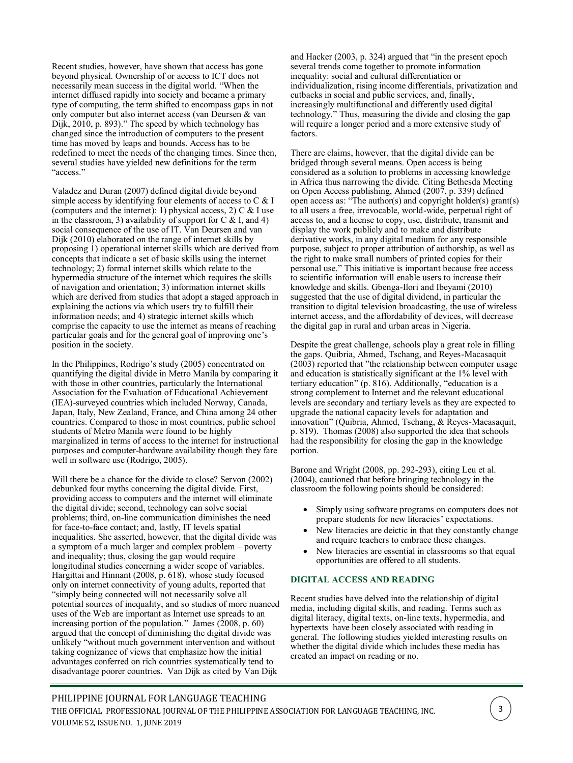Recent studies, however, have shown that access has gone beyond physical. Ownership of or access to ICT does not necessarily mean success in the digital world. "When the internet diffused rapidly into society and became a primary type of computing, the term shifted to encompass gaps in not only computer but also internet access (van Deursen & van Dijk, 2010, p. 893)." The speed by which technology has changed since the introduction of computers to the present time has moved by leaps and bounds. Access has to be redefined to meet the needs of the changing times. Since then, several studies have yielded new definitions for the term "access."

Valadez and Duran (2007) defined digital divide beyond simple access by identifying four elements of access to  $C \& I$ (computers and the internet): 1) physical access, 2) C & I use in the classroom, 3) availability of support for  $C < I$ , and 4) social consequence of the use of IT. Van Deursen and van Dijk (2010) elaborated on the range of internet skills by proposing 1) operational internet skills which are derived from concepts that indicate a set of basic skills using the internet technology; 2) formal internet skills which relate to the hypermedia structure of the internet which requires the skills of navigation and orientation; 3) information internet skills which are derived from studies that adopt a staged approach in explaining the actions via which users try to fulfill their information needs; and 4) strategic internet skills which comprise the capacity to use the internet as means of reaching particular goals and for the general goal of improving one's position in the society.

In the Philippines, Rodrigo's study (2005) concentrated on quantifying the digital divide in Metro Manila by comparing it with those in other countries, particularly the International Association for the Evaluation of Educational Achievement (IEA)-surveyed countries which included Norway, Canada, Japan, Italy, New Zealand, France, and China among 24 other countries. Compared to those in most countries, public school students of Metro Manila were found to be highly marginalized in terms of access to the internet for instructional purposes and computer-hardware availability though they fare well in software use (Rodrigo, 2005).

Will there be a chance for the divide to close? Servon (2002) debunked four myths concerning the digital divide. First, providing access to computers and the internet will eliminate the digital divide; second, technology can solve social problems; third, on-line communication diminishes the need for face-to-face contact; and, lastly, IT levels spatial inequalities. She asserted, however, that the digital divide was a symptom of a much larger and complex problem – poverty and inequality; thus, closing the gap would require longitudinal studies concerning a wider scope of variables. Hargittai and Hinnant (2008, p. 618), whose study focused only on internet connectivity of young adults, reported that "simply being connected will not necessarily solve all potential sources of inequality, and so studies of more nuanced uses of the Web are important as Internet use spreads to an increasing portion of the population." James  $(2008, p. 60)$ argued that the concept of diminishing the digital divide was unlikely "without much government intervention and without taking cognizance of views that emphasize how the initial advantages conferred on rich countries systematically tend to disadvantage poorer countries. Van Dijk as cited by Van Dijk

and Hacker (2003, p. 324) argued that "in the present epoch several trends come together to promote information inequality: social and cultural differentiation or individualization, rising income differentials, privatization and cutbacks in social and public services, and, finally, increasingly multifunctional and differently used digital technology." Thus, measuring the divide and closing the gap will require a longer period and a more extensive study of factors.

There are claims, however, that the digital divide can be bridged through several means. Open access is being considered as a solution to problems in accessing knowledge in Africa thus narrowing the divide. Citing Bethesda Meeting on Open Access publishing, Ahmed (2007, p. 339) defined open access as: "The author(s) and copyright holder(s) grant(s) to all users a free, irrevocable, world-wide, perpetual right of access to, and a license to copy, use, distribute, transmit and display the work publicly and to make and distribute derivative works, in any digital medium for any responsible purpose, subject to proper attribution of authorship, as well as the right to make small numbers of printed copies for their personal use." This initiative is important because free access to scientific information will enable users to increase their knowledge and skills. Gbenga-Ilori and Ibeyami (2010) suggested that the use of digital dividend, in particular the transition to digital television broadcasting, the use of wireless internet access, and the affordability of devices, will decrease the digital gap in rural and urban areas in Nigeria.

Despite the great challenge, schools play a great role in filling the gaps. Quibria, Ahmed, Tschang, and Reyes-Macasaquit  $(2003)$  reported that "the relationship between computer usage and education is statistically significant at the 1% level with tertiary education" (p. 816). Additionally, "education is a strong complement to Internet and the relevant educational levels are secondary and tertiary levels as they are expected to upgrade the national capacity levels for adaptation and innovation" (Quibria, Ahmed, Tschang, & Reyes-Macasaquit, p. 819). Thomas (2008) also supported the idea that schools had the responsibility for closing the gap in the knowledge portion.

Barone and Wright (2008, pp. 292-293), citing Leu et al. (2004), cautioned that before bringing technology in the classroom the following points should be considered:

- Simply using software programs on computers does not prepare students for new literacies' expectations.
- New literacies are deictic in that they constantly change and require teachers to embrace these changes.
- New literacies are essential in classrooms so that equal opportunities are offered to all students.

#### **DIGITAL ACCESS AND READING**

Recent studies have delved into the relationship of digital media, including digital skills, and reading. Terms such as digital literacy, digital texts, on-line texts, hypermedia, and hypertexts have been closely associated with reading in general. The following studies yielded interesting results on whether the digital divide which includes these media has created an impact on reading or no.

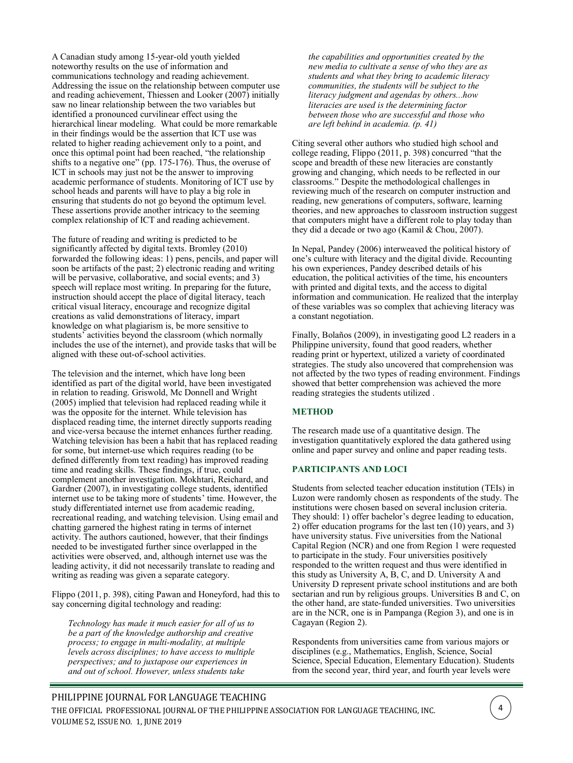A Canadian study among 15-year-old youth yielded noteworthy results on the use of information and communications technology and reading achievement. Addressing the issue on the relationship between computer use and reading achievement, Thiessen and Looker (2007) initially saw no linear relationship between the two variables but identified a pronounced curvilinear effect using the hierarchical linear modeling. What could be more remarkable in their findings would be the assertion that ICT use was related to higher reading achievement only to a point, and once this optimal point had been reached, "the relationship shifts to a negative one" (pp. 175-176). Thus, the overuse of ICT in schools may just not be the answer to improving academic performance of students. Monitoring of ICT use by school heads and parents will have to play a big role in ensuring that students do not go beyond the optimum level. These assertions provide another intricacy to the seeming complex relationship of ICT and reading achievement.

The future of reading and writing is predicted to be significantly affected by digital texts. Bromley (2010) forwarded the following ideas: 1) pens, pencils, and paper will soon be artifacts of the past; 2) electronic reading and writing will be pervasive, collaborative, and social events; and 3) speech will replace most writing. In preparing for the future, instruction should accept the place of digital literacy, teach critical visual literacy, encourage and recognize digital creations as valid demonstrations of literacy, impart knowledge on what plagiarism is, be more sensitive to students' activities beyond the classroom (which normally includes the use of the internet), and provide tasks that will be aligned with these out-of-school activities.

The television and the internet, which have long been identified as part of the digital world, have been investigated in relation to reading. Griswold, Mc Donnell and Wright (2005) implied that television had replaced reading while it was the opposite for the internet. While television has displaced reading time, the internet directly supports reading and vice-versa because the internet enhances further reading. Watching television has been a habit that has replaced reading for some, but internet-use which requires reading (to be defined differently from text reading) has improved reading time and reading skills. These findings, if true, could complement another investigation. Mokhtari, Reichard, and Gardner (2007), in investigating college students, identified internet use to be taking more of students' time. However, the study differentiated internet use from academic reading, recreational reading, and watching television. Using email and chatting garnered the highest rating in terms of internet activity. The authors cautioned, however, that their findings needed to be investigated further since overlapped in the activities were observed, and, although internet use was the leading activity, it did not necessarily translate to reading and writing as reading was given a separate category.

Flippo (2011, p. 398), citing Pawan and Honeyford, had this to say concerning digital technology and reading:

*Technology has made it much easier for all of us to be a part of the knowledge authorship and creative process; to engage in multi-modality, at multiple levels across disciplines; to have access to multiple perspectives; and to juxtapose our experiences in and out of school. However, unless students take* 

*the capabilities and opportunities created by the new media to cultivate a sense of who they are as students and what they bring to academic literacy communities, the students will be subject to the literacy judgment and agendas by others...how literacies are used is the determining factor between those who are successful and those who are left behind in academia. (p. 41)*

Citing several other authors who studied high school and college reading, Flippo (2011, p. 398) concurred "that the scope and breadth of these new literacies are constantly growing and changing, which needs to be reflected in our classrooms." Despite the methodological challenges in reviewing much of the research on computer instruction and reading, new generations of computers, software, learning theories, and new approaches to classroom instruction suggest that computers might have a different role to play today than they did a decade or two ago (Kamil & Chou, 2007).

In Nepal, Pandey (2006) interweaved the political history of one's culture with literacy and the digital divide. Recounting his own experiences, Pandey described details of his education, the political activities of the time, his encounters with printed and digital texts, and the access to digital information and communication. He realized that the interplay of these variables was so complex that achieving literacy was a constant negotiation.

Finally, Bolaños (2009), in investigating good L2 readers in a Philippine university, found that good readers, whether reading print or hypertext, utilized a variety of coordinated strategies. The study also uncovered that comprehension was not affected by the two types of reading environment. Findings showed that better comprehension was achieved the more reading strategies the students utilized .

# **METHOD**

The research made use of a quantitative design. The investigation quantitatively explored the data gathered using online and paper survey and online and paper reading tests.

#### **PARTICIPANTS AND LOCI**

Students from selected teacher education institution (TEIs) in Luzon were randomly chosen as respondents of the study. The institutions were chosen based on several inclusion criteria. They should: 1) offer bachelor's degree leading to education, 2) offer education programs for the last ten (10) years, and 3) have university status. Five universities from the National Capital Region (NCR) and one from Region 1 were requested to participate in the study. Four universities positively responded to the written request and thus were identified in this study as University A, B, C, and D. University A and University D represent private school institutions and are both sectarian and run by religious groups. Universities B and C, on the other hand, are state-funded universities. Two universities are in the NCR, one is in Pampanga (Region 3), and one is in Cagayan (Region 2).

Respondents from universities came from various majors or disciplines (e.g., Mathematics, English, Science, Social Science, Special Education, Elementary Education). Students from the second year, third year, and fourth year levels were

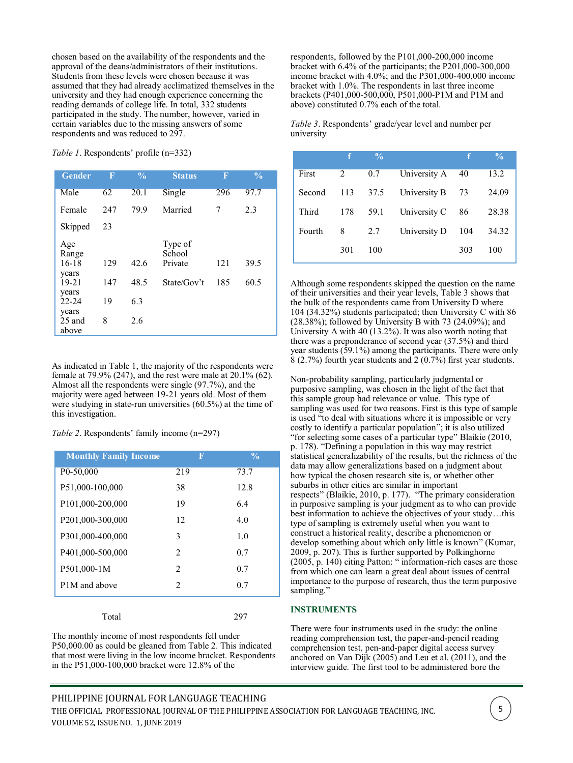chosen based on the availability of the respondents and the approval of the deans/administrators of their institutions. Students from these levels were chosen because it was assumed that they had already acclimatized themselves in the university and they had enough experience concerning the reading demands of college life. In total, 332 students participated in the study. The number, however, varied in certain variables due to the missing answers of some respondents and was reduced to 297.

*Table 1*. Respondents' profile (n=332)

| <b>Gender</b>               | $\overline{\mathbf{F}}$ | $\frac{0}{0}$ | <b>Status</b>                | $\mathbf F$ | $\frac{0}{0}$ |
|-----------------------------|-------------------------|---------------|------------------------------|-------------|---------------|
| Male                        | 62                      | 20.1          | Single                       | 296         | 97.7          |
| Female                      | 247                     | 79.9          | Married                      | 7           | 2.3           |
| Skipped                     | 23                      |               |                              |             |               |
| Age<br>Range<br>$16-18$     | 129                     | 42.6          | Type of<br>School<br>Private | 121         | 39.5          |
| years<br>$19 - 21$<br>years | 147                     | 48.5          | State/Gov't                  | 185         | 60.5          |
| $22 - 24$                   | 19                      | 6.3           |                              |             |               |
| years<br>$25$ and<br>above  | 8                       | 2.6           |                              |             |               |

As indicated in Table 1, the majority of the respondents were female at 79.9% (247), and the rest were male at 20.1% (62). Almost all the respondents were single (97.7%), and the majority were aged between 19-21 years old. Most of them were studying in state-run universities (60.5%) at the time of this investigation.

*Table 2*. Respondents' family income (n=297)

| <b>Monthly Family Income</b>          | Π                           | $\frac{0}{0}$ |
|---------------------------------------|-----------------------------|---------------|
| P <sub>0</sub> -50,000                | 219                         | 73.7          |
| P51,000-100,000                       | 38                          | 12.8          |
| P101,000-200,000                      | 19                          | 6.4           |
| P201,000-300,000                      | 12                          | 4.0           |
| P301,000-400,000                      | 3                           | 1.0           |
| P401,000-500,000                      | $\mathcal{D}_{\mathcal{L}}$ | 0.7           |
| P501,000-1M                           | $\mathfrak{D}$              | 0.7           |
| P <sub>1</sub> M <sub>and</sub> above | $\mathcal{D}_{\mathcal{L}}$ | 0.7           |
|                                       |                             |               |

Total 297

The monthly income of most respondents fell under P50,000.00 as could be gleaned from Table 2. This indicated that most were living in the low income bracket. Respondents in the P51,000-100,000 bracket were 12.8% of the

respondents, followed by the P101,000-200,000 income bracket with 6.4% of the participants; the P201,000-300,000 income bracket with 4.0%; and the P301,000-400,000 income bracket with 1.0%. The respondents in last three income brackets (P401,000-500,000, P501,000-P1M and P1M and above) constituted 0.7% each of the total.

*Table 3*. Respondents' grade/year level and number per university

|        |     | $\frac{0}{0}$ |              |     | $\frac{0}{0}$ |
|--------|-----|---------------|--------------|-----|---------------|
| First  | 2   | 0.7           | University A | 40  | 13.2          |
| Second | 113 | 37.5          | University B | 73  | 24.09         |
| Third  | 178 | 59.1          | University C | 86  | 28.38         |
| Fourth | 8   | 2.7           | University D | 104 | 34.32         |
|        | 301 | 100           |              | 303 | 100           |

Although some respondents skipped the question on the name of their universities and their year levels, Table 3 shows that the bulk of the respondents came from University D where 104 (34.32%) students participated; then University C with 86  $(28.38\%)$ ; followed by University B with 73  $(24.09\%)$ ; and University A with 40 (13.2%). It was also worth noting that there was a preponderance of second year (37.5%) and third year students (59.1%) among the participants. There were only 8 (2.7%) fourth year students and 2 (0.7%) first year students.

Non-probability sampling, particularly judgmental or purposive sampling, was chosen in the light of the fact that this sample group had relevance or value. This type of sampling was used for two reasons. First is this type of sample is used "to deal with situations where it is impossible or very costly to identify a particular population"; it is also utilized "for selecting some cases of a particular type" Blaikie (2010, p. 178). "Defining a population in this way may restrict statistical generalizability of the results, but the richness of the data may allow generalizations based on a judgment about how typical the chosen research site is, or whether other suburbs in other cities are similar in important respects" (Blaikie, 2010, p. 177). "The primary consideration in purposive sampling is your judgment as to who can provide best information to achieve the objectives of your study…this type of sampling is extremely useful when you want to construct a historical reality, describe a phenomenon or develop something about which only little is known" (Kumar, 2009, p. 207). This is further supported by Polkinghorne (2005, p. 140) citing Patton: " information-rich cases are those from which one can learn a great deal about issues of central importance to the purpose of research, thus the term purposive sampling."

#### **INSTRUMENTS**

There were four instruments used in the study: the online reading comprehension test, the paper-and-pencil reading comprehension test, pen-and-paper digital access survey anchored on Van Dijk (2005) and Leu et al. (2011), and the interview guide. The first tool to be administered bore the

5

PHILIPPINE JOURNAL FOR LANGUAGE TEACHING THE OFFICIAL PROFESSIONAL JOURNAL OF THE PHILIPPINE ASSOCIATION FOR LANGUAGE TEACHING, INC. VOLUME 52, ISSUE NO. 1, JUNE 2019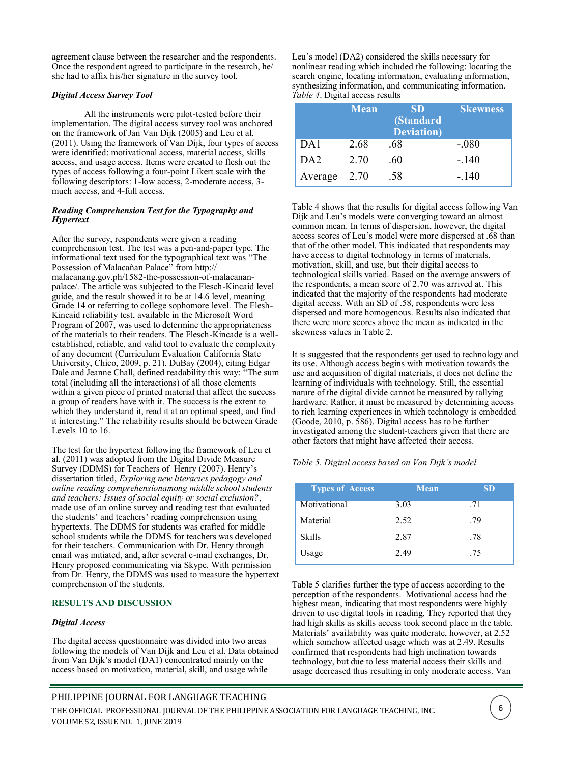agreement clause between the researcher and the respondents. Once the respondent agreed to participate in the research, he/ she had to affix his/her signature in the survey tool.

### *Digital Access Survey Tool*

All the instruments were pilot-tested before their implementation. The digital access survey tool was anchored on the framework of Jan Van Dijk (2005) and Leu et al. (2011). Using the framework of Van Dijk, four types of access were identified: motivational access, material access, skills access, and usage access. Items were created to flesh out the types of access following a four-point Likert scale with the following descriptors: 1-low access, 2-moderate access, 3 much access, and 4-full access.

#### *Reading Comprehension Test for the Typography and Hypertext*

After the survey, respondents were given a reading comprehension test. The test was a pen-and-paper type. The informational text used for the typographical text was "The Possession of Malacañan Palace" from [http://](http://malacanang.gov.ph/1582-the-possession-of-malacanan-palace/) [malacanang.gov.ph/1582](http://malacanang.gov.ph/1582-the-possession-of-malacanan-palace/)-the-possession-of-malacanan[palace/.](http://malacanang.gov.ph/1582-the-possession-of-malacanan-palace/) The article was subjected to the Flesch-Kincaid level guide, and the result showed it to be at 14.6 level, meaning Grade 14 or referring to college sophomore level. The Flesh-Kincaid reliability test, available in the Microsoft Word Program of 2007, was used to determine the appropriateness of the materials to their readers. The Flesch-Kincade is a wellestablished, reliable, and valid tool to evaluate the complexity of any document (Curriculum Evaluation California State University, Chico, 2009, p. 21). DuBay (2004), citing Edgar Dale and Jeanne Chall, defined readability this way: "The sum total (including all the interactions) of all those elements within a given piece of printed material that affect the success a group of readers have with it. The success is the extent to which they understand it, read it at an optimal speed, and find it interesting." The reliability results should be between Grade Levels 10 to 16.

The test for the hypertext following the framework of Leu et al. (2011) was adopted from the Digital Divide Measure Survey (DDMS) for Teachers of Henry (2007). Henry's dissertation titled, *Exploring new literacies pedagogy and online reading comprehensionamong middle school students and teachers: Issues of social equity or social exclusion?*, made use of an online survey and reading test that evaluated the students' and teachers' reading comprehension using hypertexts. The DDMS for students was crafted for middle school students while the DDMS for teachers was developed for their teachers. Communication with Dr. Henry through email was initiated, and, after several e-mail exchanges, Dr. Henry proposed communicating via Skype. With permission from Dr. Henry, the DDMS was used to measure the hypertext comprehension of the students.

#### **RESULTS AND DISCUSSION**

#### *Digital Access*

The digital access questionnaire was divided into two areas following the models of Van Dijk and Leu et al. Data obtained from Van Dijk's model (DA1) concentrated mainly on the access based on motivation, material, skill, and usage while

Leu's model (DA2) considered the skills necessary for nonlinear reading which included the following: locating the search engine, locating information, evaluating information, synthesizing information, and communicating information. *Table 4*. Digital access results

|                 | <b>Mean</b> | <b>SD</b><br>(Standard<br><b>Deviation</b> ) | <b>Skewness</b> |
|-----------------|-------------|----------------------------------------------|-----------------|
| DA1             | 2.68        | .68                                          | $-.080$         |
| DA <sub>2</sub> | 2.70        | .60                                          | $-.140$         |
| Average         | 2.70        | .58                                          | $-.140$         |

Table 4 shows that the results for digital access following Van Dijk and Leu's models were converging toward an almost common mean. In terms of dispersion, however, the digital access scores of Leu's model were more dispersed at .68 than that of the other model. This indicated that respondents may have access to digital technology in terms of materials, motivation, skill, and use, but their digital access to technological skills varied. Based on the average answers of the respondents, a mean score of 2.70 was arrived at. This indicated that the majority of the respondents had moderate digital access. With an SD of .58, respondents were less dispersed and more homogenous. Results also indicated that there were more scores above the mean as indicated in the skewness values in Table 2.

It is suggested that the respondents get used to technology and its use. Although access begins with motivation towards the use and acquisition of digital materials, it does not define the learning of individuals with technology. Still, the essential nature of the digital divide cannot be measured by tallying hardware. Rather, it must be measured by determining access to rich learning experiences in which technology is embedded (Goode, 2010, p. 586). Digital access has to be further investigated among the student-teachers given that there are other factors that might have affected their access.

#### *Table 5. Digital access based on Van Dijk's model*

| <b>Types of Access</b> | <b>Mean</b> | SD  |
|------------------------|-------------|-----|
| Motivational           | 3.03        | .71 |
| Material               | 2.52        | .79 |
| <b>Skills</b>          | 2.87        | .78 |
| Usage                  | 2.49        | .75 |

Table 5 clarifies further the type of access according to the perception of the respondents. Motivational access had the highest mean, indicating that most respondents were highly driven to use digital tools in reading. They reported that they had high skills as skills access took second place in the table. Materials' availability was quite moderate, however, at 2.52 which somehow affected usage which was at 2.49. Results confirmed that respondents had high inclination towards technology, but due to less material access their skills and usage decreased thus resulting in only moderate access. Van

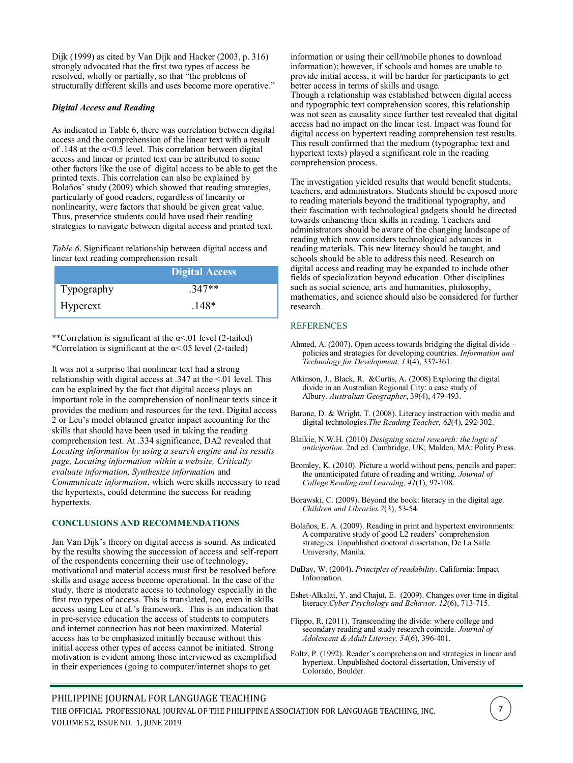Dijk (1999) as cited by Van Dijk and Hacker (2003, p. 316) strongly advocated that the first two types of access be resolved, wholly or partially, so that "the problems of structurally different skills and uses become more operative."

## *Digital Access and Reading*

As indicated in Table 6, there was correlation between digital access and the comprehension of the linear text with a result of .148 at the  $\alpha$ <0.5 level. This correlation between digital access and linear or printed text can be attributed to some other factors like the use of digital access to be able to get the printed texts. This correlation can also be explained by Bolaños' study (2009) which showed that reading strategies, particularly of good readers, regardless of linearity or nonlinearity, were factors that should be given great value. Thus, preservice students could have used their reading strategies to navigate between digital access and printed text.

*Table 6*. Significant relationship between digital access and linear text reading comprehension result

|            | Digital Access |
|------------|----------------|
| Typography | $.347**$       |
| Hyperext   | $.148*$        |

\*\*Correlation is significant at the  $\alpha$ <.01 level (2-tailed) \*Correlation is significant at the  $\alpha$ <.05 level (2-tailed)

It was not a surprise that nonlinear text had a strong relationship with digital access at .347 at the <.01 level. This can be explained by the fact that digital access plays an important role in the comprehension of nonlinear texts since it provides the medium and resources for the text. Digital access 2 or Leu's model obtained greater impact accounting for the skills that should have been used in taking the reading comprehension test. At .334 significance, DA2 revealed that *Locating information by using a search engine and its results page, Locating information within a website, Critically evaluate information, Synthesize information* and *Communicate information*, which were skills necessary to read the hypertexts, could determine the success for reading hypertexts.

#### **CONCLUSIONS AND RECOMMENDATIONS**

Jan Van Dijk's theory on digital access is sound. As indicated by the results showing the succession of access and self-report of the respondents concerning their use of technology, motivational and material access must first be resolved before skills and usage access become operational. In the case of the study, there is moderate access to technology especially in the first two types of access. This is translated, too, even in skills access using Leu et al.'s framework. This is an indication that in pre-service education the access of students to computers and internet connection has not been maximized. Material access has to be emphasized initially because without this initial access other types of access cannot be initiated. Strong motivation is evident among those interviewed as exemplified in their experiences (going to computer/internet shops to get

information or using their cell/mobile phones to download information); however, if schools and homes are unable to provide initial access, it will be harder for participants to get better access in terms of skills and usage. Though a relationship was established between digital access and typographic text comprehension scores, this relationship was not seen as causality since further test revealed that digital access had no impact on the linear test. Impact was found for digital access on hypertext reading comprehension test results. This result confirmed that the medium (typographic text and hypertext texts) played a significant role in the reading comprehension process.

The investigation yielded results that would benefit students, teachers, and administrators. Students should be exposed more to reading materials beyond the traditional typography, and their fascination with technological gadgets should be directed towards enhancing their skills in reading. Teachers and administrators should be aware of the changing landscape of reading which now considers technological advances in reading materials. This new literacy should be taught, and schools should be able to address this need. Research on digital access and reading may be expanded to include other fields of specialization beyond education. Other disciplines such as social science, arts and humanities, philosophy, mathematics, and science should also be considered for further research.

#### REFERENCES

- Ahmed, A. (2007). Open access towards bridging the digital divide policies and strategies for developing countries. *Information and Technology for Development, 13*(4), 337-361.
- Atkinson, J., Black, R. &Curtis, A. (2008) Exploring the digital divide in an Australian Regional City: a case study of Albury. *Australian Geographer*, 39(4), 479-493.
- Barone, D. & Wright, T. (2008). Literacy instruction with media and digital technologies.*The Reading Teacher, 62*(4), 292-302.
- Blaikie, N.W.H. (2010) *Designing social research: the logic of anticipation*. 2nd ed. Cambridge, UK; Malden, MA: Polity Press.
- Bromley, K. (2010). Picture a world without pens, pencils and paper: the unanticipated future of reading and writing. *Journal of College Reading and Learning, 41*(1), 97-108.
- Borawski, C. (2009). Beyond the book: literacy in the digital age. *Children and Libraries.7*(3), 53-54.
- Bolaños, E. A. (2009). Reading in print and hypertext environments: A comparative study of good L2 readers' comprehension strategies. Unpublished doctoral dissertation, De La Salle University, Manila.
- DuBay, W. (2004). *Principles of readability*. California: Impact Information.
- Eshet-Alkalai, Y. and Chajut, E. (2009). Changes over time in digital literacy.*Cyber Psychology and Behavior. 12*(6), 713-715.
- Flippo, R. (2011). Transcending the divide: where college and secondary reading and study research coincide. *Journal of Adolescent & Adult Literacy, 54*(6), 396-401.
- Foltz, P. (1992). Reader's comprehension and strategies in linear and hypertext. Unpublished doctoral dissertation, University of Colorado, Boulder.

# PHILIPPINE JOURNAL FOR LANGUAGE TEACHING

THE OFFICIAL PROFESSIONAL JOURNAL OF THE PHILIPPINE ASSOCIATION FOR LANGUAGE TEACHING, INC. VOLUME 52, ISSUE NO. 1, JUNE 2019